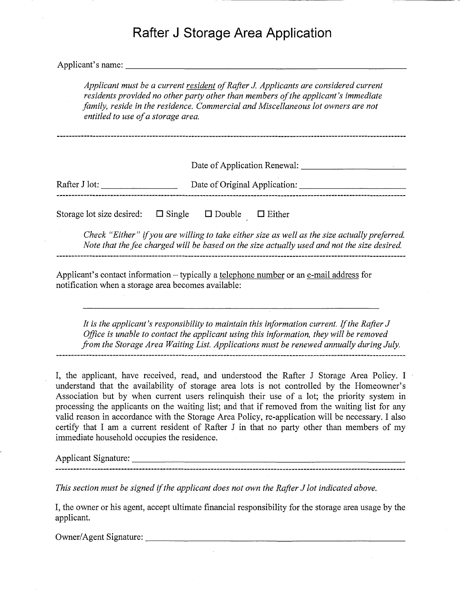# **Rafter J Storage Area Application**

Applicant's name:

*Applicant must be a current resident ofRafter* J. *Applicants are considered current residents provided no other party other than members ofthe applicant's immediate family, reside in the residence. Commercial and Miscellaneous lot owners are not entitled to use ofa storage area.*

Date of Application Renewal: \_

| Rafter J lot: | Date of Original Application: |
|---------------|-------------------------------|
|               |                               |

Storage lot size desired:  $\Box$  Single  $\Box$  Double  $\Box$  Either

*Check "Either}}* if*you are willing to take either size as well as the size actually preferred. Note that the fee charged will be based on the size actually used and not the size desired.* 

Applicant's contact information – typically a telephone number or an e-mail address for notification when a storage area becomes available:

*It is the applicant's responsibility to maintain this information current.* If*the Rafter J Office is unable to contact the applicant using this information, they will be removed from the Storage Area Waiting List. Applications must be renewed annually during July.*

I, the applicant, have received, read, and understood the Rafter J Storage Area Policy. I understand that the availability of storage area lots is not controlled by the Homeowner's Association but by when current users relinquish their use of a lot; the priority system in processing the applicants on the waiting list; and that if removed from the waiting list for any valid reason in accordance with the Storage Area Policy, re-application will be necessary. I also certify that I am a current resident of Rafter J in that no party other than members of my immediate household occupies the residence.

Applicant Signature: \_

*This section must be signed* if*the applicant does not own the Rafter J lot indicated above.*

I, the owner or his agent, accept ultimate financial responsibility for the storage area usage by the applicant.

Owner/Agent Signature: \_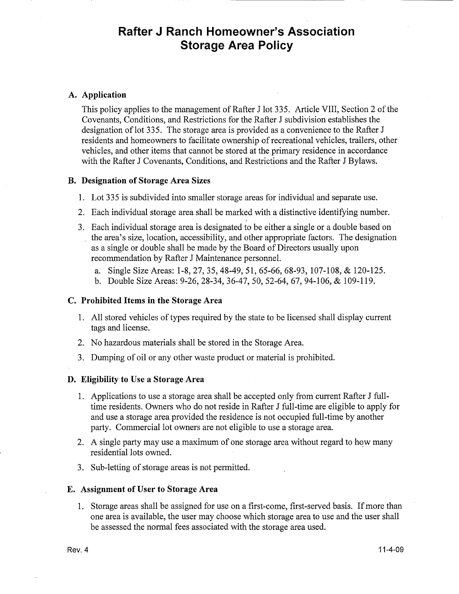## **Rafter J Ranch Homeowner's Association Storage Area Policy**

#### **A. Application**

This policy applies to the management of Rafter J lot 335. Article VIII, Section 2 of the Covenants, Conditions, and Restrictions for the Rafter J subdivision establishes the designation oflot 335. The storage area is provided as a convenience to the Rafter J residents and homeowners to facilitate ownership of recreational vehicles, trailers, other vehicles, and other items that cannot be stored at the primary residence in accordance with the Rafter J Covenants, Conditions, and Restrictions and the Rafter J Bylaws.

#### **B. Designation of Storage Area Sizes**

- 1. Lot 335 is subdivided into smaller storage areas for individual and separate use.
- 2. Each individual storage area shall be marked with a distinctive identifying number.
- 3. Each individual storage area is designated to be either a single or a double based on the area's size, location, accessibility, and other appropriate factors. The designation as a single or double shall be made by the Board of Directors usually upon recommendation by Rafter J Maintenance personnel.
	- a. Single Size Areas: 1-8,27,35,48-49,51,65-66,68-93, 107-108, & 120-125.
	- b. Double Size Areas: 9-26,28-34,36-47,50,52-64,67,94-106, & 109-119.

#### **C. Prohibited Items in the Storage Area**

- 1. All stored vehicles of types required by the state to be licensed shall display current tags and license.
- 2. No hazardous materials shall be stored in the Storage Area.
- 3. Dumping of oil or any other waste product or material is prohibited.

#### **D. Eligibility to Use a Storage Area**

- 1. Applications to use a storage area shall be accepted only from current Rafter J fulltime residents. Owners who do not reside in Rafter J full-time are eligible to apply for and use a storage area provided the residence is not occupied full-time by another party. Commercial lot owners are not eligible to use a storage area.
- 2. A single party may use a maximum of one storage area without regard to how many residential lots owned.
- 3. Sub-letting of storage areas is not permitted.

#### **E. Assignment** of User **to Storage Area**

1. Storage areas shall be assigned for use on a first-come, first-served basis. If more than one area is available, the user may choose which storage area to use and the user shall be assessed the normal fees associated with the storage area used.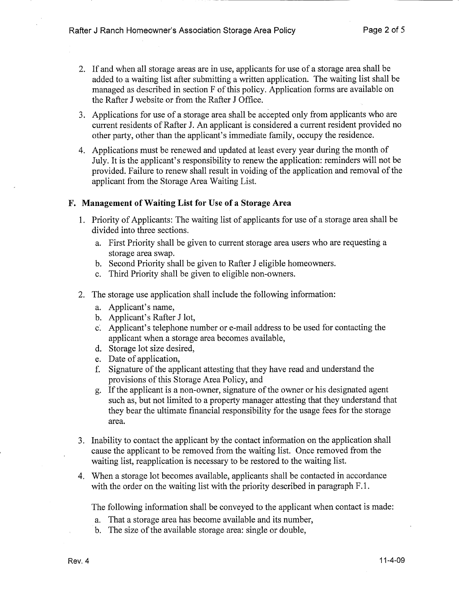- 2. If and when all storage areas are in use, applicants for use of a storage area shall be added to a waiting list after submitting a written application. The waiting list shall be managed as described in section F of this policy. Application forms are available on the Rafter J website or from the Rafter J Office.
- 3. Applications for use of a storage area shall be accepted only from applicants who are current residents of Rafter J. An applicant is considered a current resident provided no other party, other than the applicant's immediate family, occupy the residence.
- 4. Applications must be renewed and updated at least every year during the month of July. It is the applicant's responsibility to renew the application: reminders will not be provided. Failure to renew shall result in voiding of the application and removal of the applicant from the Storage Area Waiting List.

#### F. Management of Waiting List for Use of a Storage Area

- 1. Priority of Applicants: The waiting list of applicants for use of a storage area shall be divided into three sections.
	- a. First Priority shall be given to current storage area users who are requesting a storage area swap.
	- b. Second Priority shall be given to Rafter J eligible homeowners.
	- c. Third Priority shall be given to eligible non-owners.
- 2. The storage use application shall include the following information:
	- a. Applicant's name,
	- b. Applicant's Rafter J lot,
	- c~ Applicant's telephone number or e-mail address to be used for contacting the applicant when a storage area becomes available,
	- d. Storage lot size desired,
	- e. Date of application,
	- f. Signature of the applicant attesting that they have read and understand the provisions of this Storage Area Policy, and
	- g. If the applicant is a non-owner, signature of the owner or his designated agent such as, but not limited to a property manager attesting that they understand that they bear the ultimate financial responsibility for the usage fees for the storage area.
- 3. Inability to contact the applicant by the contact information on the application shall cause the applicant to be removed from the waiting list. Once removed from the waiting list, reapplication is necessary to be restored to the waiting list.
- 4. When a storage lot becomes available, applicants shall be contacted in accordance with the order on the waiting list with the priority described in paragraph F.1.

The following information shall be conveyed to the applicant when contact is made:

- a. That a storage area has become available and its number,
- b. The size of the available storage area: single or double,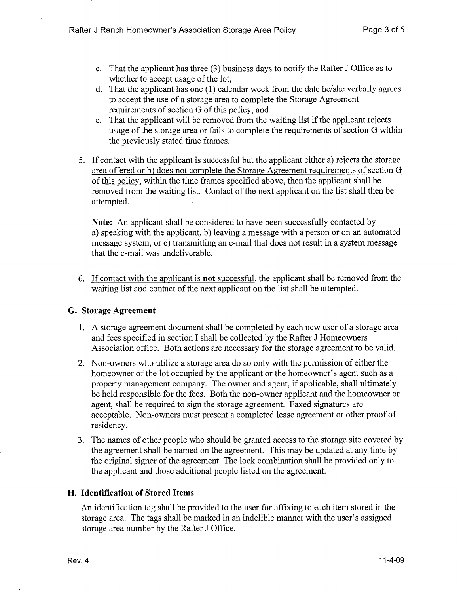- c. That the applicant has three (3) business days to notify the Rafter J Office as to whether to accept usage of the lot,
- d. That the applicant has one (1) calendar week from the date he/she verbally agrees to accept the use of a storage area to complete the Storage Agreement requirements of section G of this policy, and
- e. That the applicant will be removed from the waiting list if the applicant rejects usage of the storage area or fails to complete the requirements of section G within the previously stated time frames.
- 5. If contact with the applicant is successful but the applicant either a) rejects the storage area offered or b) does not complete the Storage Agreement requirements of section  $G$ ofthis policy, within the time frames specified above, then the applicant shall be removed from the waiting list. Contact of the next applicant on the list shall then be attempted.

Note: An applicant shall be considered to have been successfully contacted by a) speaking with the applicant, b) leaving a message with a person or on an automated message system, or c) transmitting an e-mail that does not result in a system message that the e-mail was undeliverable.

6. If contact with the applicant is not successful, the applicant shall be removed from the waiting list and contact of the next applicant on the list shall be attempted.

## G. Storage Agreement

- 1. A storage agreement document shall be completed by each new user of a storage area and fees specified in section I shall be collected by the Rafter J Homeowners Association office. Both actions are necessary for the storage agreement to be valid.
- 2. Non-owners who utilize a storage area do so only with the permission of either the homeowner of the lot occupied by the applicant or the homeowner's agent such as a property management company. The owner and agent, if applicable, shall ultimately be held responsible for the fees. Both the non-owner applicant and the homeowner or agent, shall be required to sign the storage agreement. Faxed signatures are acceptable. Non-owners must present a completed lease agreement or other proof of residency.
- 3. The names of other people who should be granted access to the storage site covered by the agreement shall be named on the agreement. This may be updated at any time by the original signer of the agreement. The lock combination shall be provided only to the applicant and those additional people listed on the agreement.

## H. Identification of Stored Items

An identification tag shall be provided to the user for affixing to each item stored in the storage area. The tags shall be marked in an indelible manner with the user's assigned storage area number by the Rafter J Office.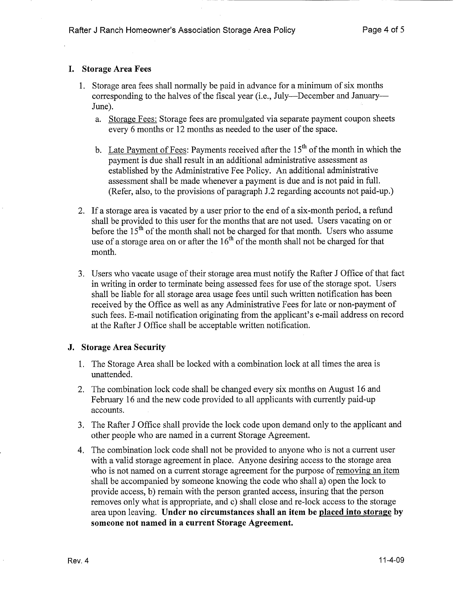## I. Storage Area Fees

- 1. Storage area fees shall normally be paid in advance for a minimum of six months corresponding to the halves of the fiscal year (i.e., July---December and January---June).
	- a. Storage Fees: Storage fees are promulgated via separate payment coupon sheets every 6 months or 12 months as needed to the user of the space.
	- b. Late Payment of Fees: Payments received after the  $15<sup>th</sup>$  of the month in which the payment is due shall result in an additional administrative assessment as established by the Administrative Fee Policy. An additional administrative assessment shall be made whenever a payment is due and is not paid in full. (Refer, also, to the provisions of paragraph J.2 regarding accounts not paid-up.)
- 2. If a storage area is vacated by a user prior to the end of a six-month period, a refund shall be provided to this user for the months that are not used. Users vacating on or before the  $15<sup>th</sup>$  of the month shall not be charged for that month. Users who assume use of a storage area on or after the  $16<sup>th</sup>$  of the month shall not be charged for that month.
- 3. Users who vacate usage of their storage area must notify the Rafter J Office of that fact in writing in order to terminate being assessed fees for use of the storage spot. Users shall be liable for all storage area usage fees until such written notification has been received by the Office as well as any Administrative Fees for late or non-payment of such fees. E-mail notification originating from the applicant's e-mail address on record at the Rafter J Office shall be acceptable written notification.

## J. Storage Area Security

- 1. The Storage Area shall be locked with a combination lock at all times the area is unattended.
- 2. The combination lock code shall be changed every six months on August 16 and February 16 and the new code provided to all applicants with currently paid-up accounts.
- 3. The Rafter J Office shall provide the lock code upon demand only to the applicant and other people who are named in a current Storage Agreement.
- 4. The combination lock code shall not be provided to anyone who is not a current user with a valid storage agreement in place. Anyone desiring access to the storage area who is not named on a current storage agreement for the purpose of removing an item shall be accompanied by someone knowing the code who shall a) open the lock to provide access, b) remain with the person granted access, insuring that the person removes only what is appropriate, and c) shall close and re-lock access to the storage area upon leaving. Under no circumstances shall an item be placed into storage by someone not named in a current Storage Agreement.